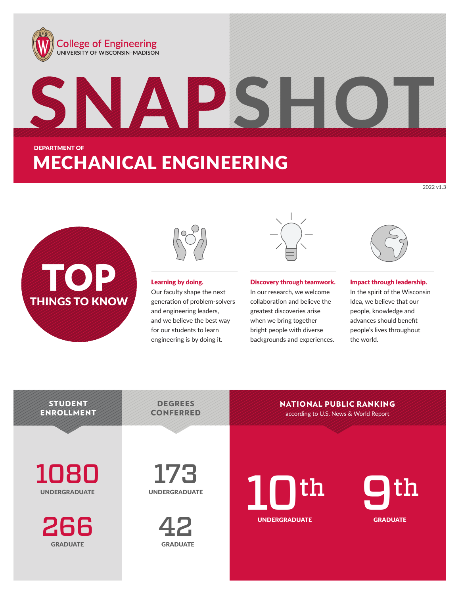





### Learning by doing.

Our faculty shape the next generation of problem-solvers and engineering leaders, and we believe the best way for our students to learn engineering is by doing it.

#### Discovery through teamwork.

In our research, we welcome collaboration and believe the greatest discoveries arise when we bring together bright people with diverse backgrounds and experiences.

NATIONAL PUBLIC RANKING



2022 v1.3

#### Impact through leadership.

In the spirit of the Wisconsin Idea, we believe that our people, knowledge and advances should benefit people's lives throughout the world.

**STUDENT** ENROLLMENT

108 UNDERGRADUATE

266 **GRADUATE** 

173 UNDERGRADUATE

DEGREES



UNDERGRADUATE **10th** 

CONFERRED according to U.S. News & World Report

GRADU **GRADUATE** th